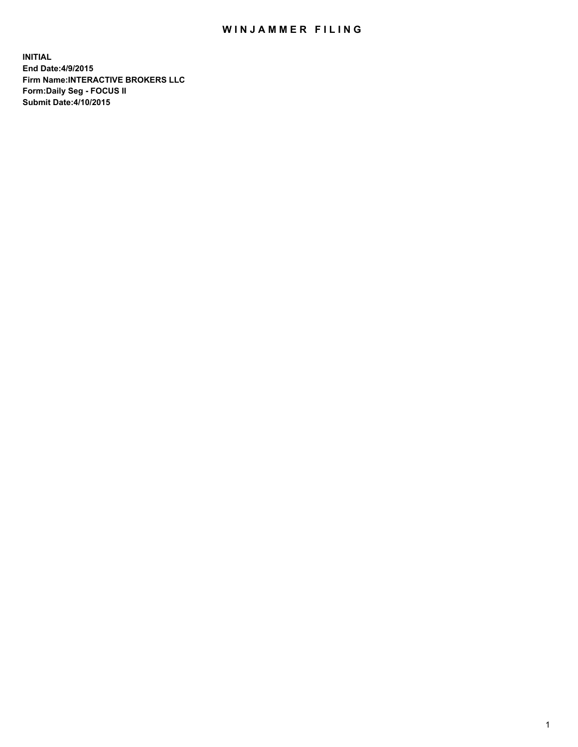## WIN JAMMER FILING

**INITIAL End Date:4/9/2015 Firm Name:INTERACTIVE BROKERS LLC Form:Daily Seg - FOCUS II Submit Date:4/10/2015**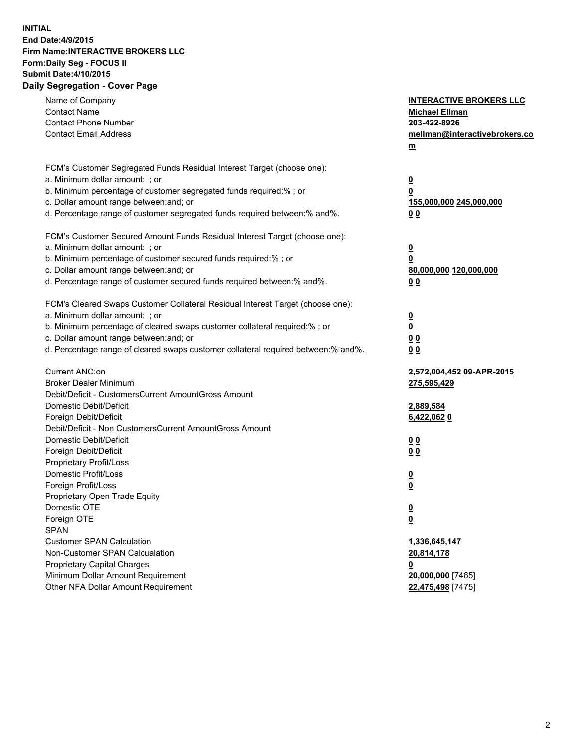## **INITIAL End Date:4/9/2015 Firm Name:INTERACTIVE BROKERS LLC Form:Daily Seg - FOCUS II Submit Date:4/10/2015 Daily Segregation - Cover Page**

| Name of Company                                                                   | <b>INTERACTIVE BROKERS LLC</b> |
|-----------------------------------------------------------------------------------|--------------------------------|
| <b>Contact Name</b>                                                               | <b>Michael Ellman</b>          |
| <b>Contact Phone Number</b>                                                       | 203-422-8926                   |
| <b>Contact Email Address</b>                                                      | mellman@interactivebrokers.co  |
|                                                                                   | $m$                            |
| FCM's Customer Segregated Funds Residual Interest Target (choose one):            |                                |
| a. Minimum dollar amount: ; or                                                    | $\overline{\mathbf{0}}$        |
| b. Minimum percentage of customer segregated funds required:% ; or                | 0                              |
| c. Dollar amount range between: and; or                                           | 155,000,000 245,000,000        |
| d. Percentage range of customer segregated funds required between:% and%.         | 0 <sub>0</sub>                 |
| FCM's Customer Secured Amount Funds Residual Interest Target (choose one):        |                                |
| a. Minimum dollar amount: ; or                                                    | $\overline{\mathbf{0}}$        |
| b. Minimum percentage of customer secured funds required:% ; or                   | 0                              |
| c. Dollar amount range between: and; or                                           | 80,000,000 120,000,000         |
| d. Percentage range of customer secured funds required between:% and%.            | 0 <sub>0</sub>                 |
| FCM's Cleared Swaps Customer Collateral Residual Interest Target (choose one):    |                                |
| a. Minimum dollar amount: ; or                                                    | $\overline{\mathbf{0}}$        |
| b. Minimum percentage of cleared swaps customer collateral required:% ; or        | $\overline{\mathbf{0}}$        |
| c. Dollar amount range between: and; or                                           | 0 <sub>0</sub>                 |
| d. Percentage range of cleared swaps customer collateral required between:% and%. | 0 <sub>0</sub>                 |
|                                                                                   |                                |
| Current ANC:on                                                                    | 2,572,004,452 09-APR-2015      |
| <b>Broker Dealer Minimum</b>                                                      | 275,595,429                    |
| Debit/Deficit - CustomersCurrent AmountGross Amount                               |                                |
| Domestic Debit/Deficit                                                            | 2,889,584                      |
| Foreign Debit/Deficit                                                             | 6,422,062 0                    |
| Debit/Deficit - Non CustomersCurrent AmountGross Amount                           |                                |
| Domestic Debit/Deficit                                                            | 0 <sub>0</sub>                 |
| Foreign Debit/Deficit                                                             | 0 <sub>0</sub>                 |
| Proprietary Profit/Loss                                                           |                                |
| Domestic Profit/Loss                                                              | <u>0</u>                       |
| Foreign Profit/Loss                                                               | $\overline{\mathbf{0}}$        |
| Proprietary Open Trade Equity                                                     |                                |
| Domestic OTE                                                                      | <u>0</u>                       |
| Foreign OTE                                                                       | <u>0</u>                       |
| <b>SPAN</b>                                                                       |                                |
| <b>Customer SPAN Calculation</b>                                                  | 1,336,645,147                  |
| Non-Customer SPAN Calcualation                                                    | 20,814,178                     |
| <b>Proprietary Capital Charges</b>                                                | <u>0</u>                       |
| Minimum Dollar Amount Requirement                                                 | 20,000,000 [7465]              |
| Other NFA Dollar Amount Requirement                                               | 22,475,498 [7475]              |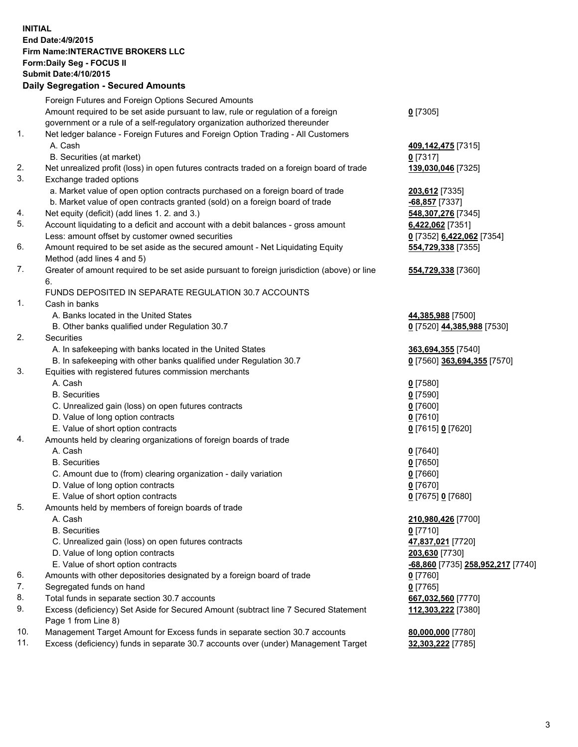## **INITIAL End Date:4/9/2015 Firm Name:INTERACTIVE BROKERS LLC Form:Daily Seg - FOCUS II Submit Date:4/10/2015 Daily Segregation - Secured Amounts**

|                | Daily Segregation - Secured Amounts                                                                        |                                   |
|----------------|------------------------------------------------------------------------------------------------------------|-----------------------------------|
|                | Foreign Futures and Foreign Options Secured Amounts                                                        |                                   |
|                | Amount required to be set aside pursuant to law, rule or regulation of a foreign                           | $0$ [7305]                        |
|                | government or a rule of a self-regulatory organization authorized thereunder                               |                                   |
| $\mathbf{1}$ . | Net ledger balance - Foreign Futures and Foreign Option Trading - All Customers                            |                                   |
|                | A. Cash                                                                                                    | 409,142,475 [7315]                |
|                | B. Securities (at market)                                                                                  | $0$ [7317]                        |
| 2.             | Net unrealized profit (loss) in open futures contracts traded on a foreign board of trade                  | 139,030,046 [7325]                |
| 3.             | Exchange traded options                                                                                    |                                   |
|                | a. Market value of open option contracts purchased on a foreign board of trade                             | 203,612 [7335]                    |
|                | b. Market value of open contracts granted (sold) on a foreign board of trade                               | $-68,857$ [7337]                  |
| 4.             | Net equity (deficit) (add lines 1.2. and 3.)                                                               | 548, 307, 276 [7345]              |
| 5.             | Account liquidating to a deficit and account with a debit balances - gross amount                          | 6,422,062 [7351]                  |
|                | Less: amount offset by customer owned securities                                                           | 0 [7352] 6,422,062 [7354]         |
| 6.             | Amount required to be set aside as the secured amount - Net Liquidating Equity                             | 554,729,338 [7355]                |
|                | Method (add lines 4 and 5)                                                                                 |                                   |
| 7.             | Greater of amount required to be set aside pursuant to foreign jurisdiction (above) or line                | 554,729,338 [7360]                |
|                | 6.                                                                                                         |                                   |
|                | FUNDS DEPOSITED IN SEPARATE REGULATION 30.7 ACCOUNTS                                                       |                                   |
| 1.             | Cash in banks                                                                                              |                                   |
|                | A. Banks located in the United States                                                                      | 44,385,988 [7500]                 |
|                | B. Other banks qualified under Regulation 30.7                                                             | 0 [7520] 44,385,988 [7530]        |
| 2.             | Securities                                                                                                 |                                   |
|                | A. In safekeeping with banks located in the United States                                                  | 363,694,355 [7540]                |
|                | B. In safekeeping with other banks qualified under Regulation 30.7                                         | 0 [7560] 363,694,355 [7570]       |
| 3.             | Equities with registered futures commission merchants                                                      |                                   |
|                | A. Cash                                                                                                    | $0$ [7580]                        |
|                | <b>B.</b> Securities                                                                                       | $0$ [7590]                        |
|                | C. Unrealized gain (loss) on open futures contracts                                                        | $0$ [7600]                        |
|                | D. Value of long option contracts                                                                          | $0$ [7610]                        |
|                | E. Value of short option contracts                                                                         | 0 [7615] 0 [7620]                 |
| 4.             | Amounts held by clearing organizations of foreign boards of trade                                          |                                   |
|                | A. Cash                                                                                                    | $0$ [7640]                        |
|                | <b>B.</b> Securities                                                                                       | $0$ [7650]                        |
|                | C. Amount due to (from) clearing organization - daily variation                                            | $0$ [7660]                        |
|                | D. Value of long option contracts                                                                          | $0$ [7670]                        |
|                | E. Value of short option contracts                                                                         | 0 [7675] 0 [7680]                 |
| 5.             | Amounts held by members of foreign boards of trade                                                         |                                   |
|                | A. Cash                                                                                                    | 210,980,426 [7700]                |
|                | <b>B.</b> Securities                                                                                       | $0$ [7710]                        |
|                | C. Unrealized gain (loss) on open futures contracts                                                        | 47,837,021 [7720]                 |
|                | D. Value of long option contracts                                                                          | 203,630 [7730]                    |
|                | E. Value of short option contracts                                                                         | -68,860 [7735] 258,952,217 [7740] |
| 6.             | Amounts with other depositories designated by a foreign board of trade                                     | 0 [7760]                          |
| 7.             | Segregated funds on hand                                                                                   | $0$ [7765]                        |
| 8.             | Total funds in separate section 30.7 accounts                                                              | 667,032,560 [7770]                |
| 9.             | Excess (deficiency) Set Aside for Secured Amount (subtract line 7 Secured Statement<br>Page 1 from Line 8) | 112,303,222 [7380]                |
| 10.            | Management Target Amount for Excess funds in separate section 30.7 accounts                                | 80,000,000 [7780]                 |
| 11.            | Excess (deficiency) funds in separate 30.7 accounts over (under) Management Target                         | 32,303,222 [7785]                 |
|                |                                                                                                            |                                   |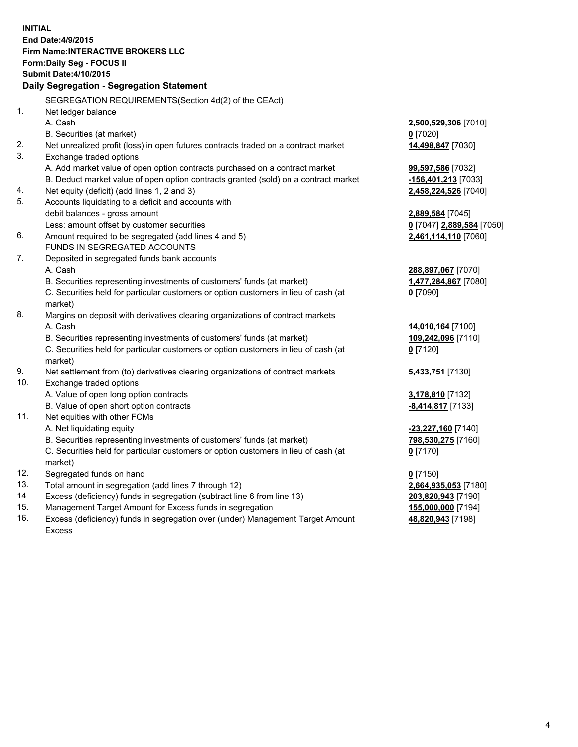**INITIAL End Date:4/9/2015 Firm Name:INTERACTIVE BROKERS LLC Form:Daily Seg - FOCUS II Submit Date:4/10/2015 Daily Segregation - Segregation Statement** SEGREGATION REQUIREMENTS(Section 4d(2) of the CEAct) 1. Net ledger balance A. Cash **2,500,529,306** [7010] B. Securities (at market) **0** [7020] 2. Net unrealized profit (loss) in open futures contracts traded on a contract market **14,498,847** [7030] 3. Exchange traded options A. Add market value of open option contracts purchased on a contract market **99,597,586** [7032] B. Deduct market value of open option contracts granted (sold) on a contract market **-156,401,213** [7033] 4. Net equity (deficit) (add lines 1, 2 and 3) **2,458,224,526** [7040] 5. Accounts liquidating to a deficit and accounts with debit balances - gross amount **2,889,584** [7045] Less: amount offset by customer securities **0** [7047] **2,889,584** [7050] 6. Amount required to be segregated (add lines 4 and 5) **2,461,114,110** [7060] FUNDS IN SEGREGATED ACCOUNTS 7. Deposited in segregated funds bank accounts A. Cash **288,897,067** [7070] B. Securities representing investments of customers' funds (at market) **1,477,284,867** [7080] C. Securities held for particular customers or option customers in lieu of cash (at market) **0** [7090] 8. Margins on deposit with derivatives clearing organizations of contract markets A. Cash **14,010,164** [7100] B. Securities representing investments of customers' funds (at market) **109,242,096** [7110] C. Securities held for particular customers or option customers in lieu of cash (at market) **0** [7120] 9. Net settlement from (to) derivatives clearing organizations of contract markets **5,433,751** [7130] 10. Exchange traded options A. Value of open long option contracts **3,178,810** [7132] B. Value of open short option contracts **-8,414,817** [7133] 11. Net equities with other FCMs A. Net liquidating equity **-23,227,160** [7140] B. Securities representing investments of customers' funds (at market) **798,530,275** [7160] C. Securities held for particular customers or option customers in lieu of cash (at market) **0** [7170] 12. Segregated funds on hand **0** [7150] 13. Total amount in segregation (add lines 7 through 12) **2,664,935,053** [7180] 14. Excess (deficiency) funds in segregation (subtract line 6 from line 13) **203,820,943** [7190] 15. Management Target Amount for Excess funds in segregation **155,000,000** [7194]

16. Excess (deficiency) funds in segregation over (under) Management Target Amount Excess

**48,820,943** [7198]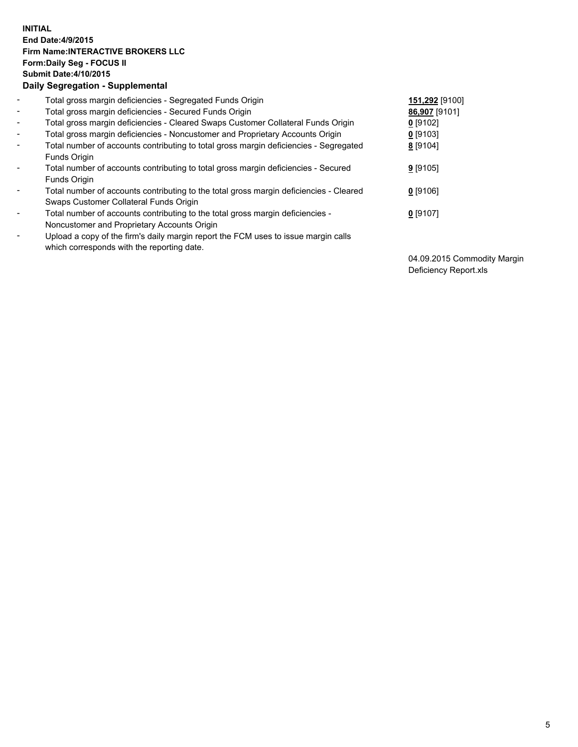## **INITIAL End Date:4/9/2015 Firm Name:INTERACTIVE BROKERS LLC Form:Daily Seg - FOCUS II Submit Date:4/10/2015 Daily Segregation - Supplemental**

| $\blacksquare$           | Total gross margin deficiencies - Segregated Funds Origin                                                                        | 151,292 [9100] |
|--------------------------|----------------------------------------------------------------------------------------------------------------------------------|----------------|
| $\blacksquare$           | Total gross margin deficiencies - Secured Funds Origin                                                                           | 86,907 [9101]  |
| $\blacksquare$           | Total gross margin deficiencies - Cleared Swaps Customer Collateral Funds Origin                                                 | $0$ [9102]     |
| $\blacksquare$           | Total gross margin deficiencies - Noncustomer and Proprietary Accounts Origin                                                    | $0$ [9103]     |
| $\blacksquare$           | Total number of accounts contributing to total gross margin deficiencies - Segregated<br>Funds Origin                            | 8 [9104]       |
| $\blacksquare$           | Total number of accounts contributing to total gross margin deficiencies - Secured<br><b>Funds Origin</b>                        | $9$ [9105]     |
| $\overline{\phantom{a}}$ | Total number of accounts contributing to the total gross margin deficiencies - Cleared<br>Swaps Customer Collateral Funds Origin | $0$ [9106]     |
| -                        | Total number of accounts contributing to the total gross margin deficiencies -<br>Noncustomer and Proprietary Accounts Origin    | $0$ [9107]     |
| $\blacksquare$           | Upload a copy of the firm's daily margin report the FCM uses to issue margin calls<br>which corresponds with the reporting date. |                |

04.09.2015 Commodity Margin Deficiency Report.xls